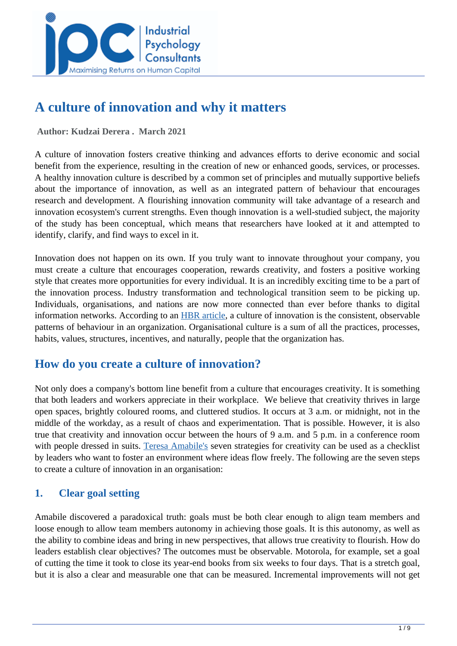

# **A culture of innovation and why it matters**

 **Author: Kudzai Derera . March 2021** 

A culture of innovation fosters creative thinking and advances efforts to derive economic and social benefit from the experience, resulting in the creation of new or enhanced goods, services, or processes. A healthy innovation culture is described by a common set of principles and mutually supportive beliefs about the importance of innovation, as well as an integrated pattern of behaviour that encourages research and development. A flourishing innovation community will take advantage of a research and innovation ecosystem's current strengths. Even though innovation is a well-studied subject, the majority of the study has been conceptual, which means that researchers have looked at it and attempted to identify, clarify, and find ways to excel in it.

Innovation does not happen on its own. If you truly want to innovate throughout your company, you must create a culture that encourages cooperation, rewards creativity, and fosters a positive working style that creates more opportunities for every individual. It is an incredibly exciting time to be a part of the innovation process. Industry transformation and technological transition seem to be picking up. Individuals, organisations, and nations are now more connected than ever before thanks to digital information networks. According to an [HBR article,](https://hbr.org/2013/05/what-is-organizational-culture) a culture of innovation is the consistent, observable patterns of behaviour in an organization. Organisational culture is a sum of all the practices, processes, habits, values, structures, incentives, and naturally, people that the organization has.

# **How do you create a culture of innovation?**

Not only does a company's bottom line benefit from a culture that encourages creativity. It is something that both leaders and workers appreciate in their workplace. We believe that creativity thrives in large open spaces, brightly coloured rooms, and cluttered studios. It occurs at 3 a.m. or midnight, not in the middle of the workday, as a result of chaos and experimentation. That is possible. However, it is also true that creativity and innovation occur between the hours of 9 a.m. and 5 p.m. in a conference room with people dressed in suits. [Teresa Amabile's](https://www.forbes.com/sites/amberjohnson-jimludema/2019/02/12/seven-steps-to-creating-a-culture-of-innovation/?sh=5f82ef6f198e) seven strategies for creativity can be used as a checklist by leaders who want to foster an environment where ideas flow freely. The following are the seven steps to create a culture of innovation in an organisation:

### **1. Clear goal setting**

Amabile discovered a paradoxical truth: goals must be both clear enough to align team members and loose enough to allow team members autonomy in achieving those goals. It is this autonomy, as well as the ability to combine ideas and bring in new perspectives, that allows true creativity to flourish. How do leaders establish clear objectives? The outcomes must be observable. Motorola, for example, set a goal of cutting the time it took to close its year-end books from six weeks to four days. That is a stretch goal, but it is also a clear and measurable one that can be measured. Incremental improvements will not get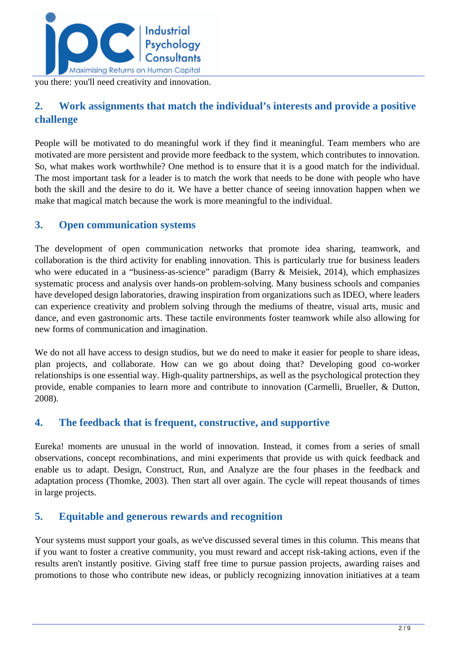

you there: you'll need creativity and innovation.

### **2. Work assignments that match the individual's interests and provide a positive challenge**

People will be motivated to do meaningful work if they find it meaningful. Team members who are motivated are more persistent and provide more feedback to the system, which contributes to innovation. So, what makes work worthwhile? One method is to ensure that it is a good match for the individual. The most important task for a leader is to match the work that needs to be done with people who have both the skill and the desire to do it. We have a better chance of seeing innovation happen when we make that magical match because the work is more meaningful to the individual.

#### **3. Open communication systems**

The development of open communication networks that promote idea sharing, teamwork, and collaboration is the third activity for enabling innovation. This is particularly true for business leaders who were educated in a "business-as-science" paradigm (Barry & Meisiek, 2014), which emphasizes systematic process and analysis over hands-on problem-solving. Many business schools and companies have developed design laboratories, drawing inspiration from organizations such as IDEO, where leaders can experience creativity and problem solving through the mediums of theatre, visual arts, music and dance, and even gastronomic arts. These tactile environments foster teamwork while also allowing for new forms of communication and imagination.

We do not all have access to design studios, but we do need to make it easier for people to share ideas, plan projects, and collaborate. How can we go about doing that? Developing good co-worker relationships is one essential way. High-quality partnerships, as well as the psychological protection they provide, enable companies to learn more and contribute to innovation (Carmelli, Brueller, & Dutton, 2008).

### **4. The feedback that is frequent, constructive, and supportive**

Eureka! moments are unusual in the world of innovation. Instead, it comes from a series of small observations, concept recombinations, and mini experiments that provide us with quick feedback and enable us to adapt. Design, Construct, Run, and Analyze are the four phases in the feedback and adaptation process (Thomke, 2003). Then start all over again. The cycle will repeat thousands of times in large projects.

### **5. Equitable and generous rewards and recognition**

Your systems must support your goals, as we've discussed several times in this column. This means that if you want to foster a creative community, you must reward and accept risk-taking actions, even if the results aren't instantly positive. Giving staff free time to pursue passion projects, awarding raises and promotions to those who contribute new ideas, or publicly recognizing innovation initiatives at a team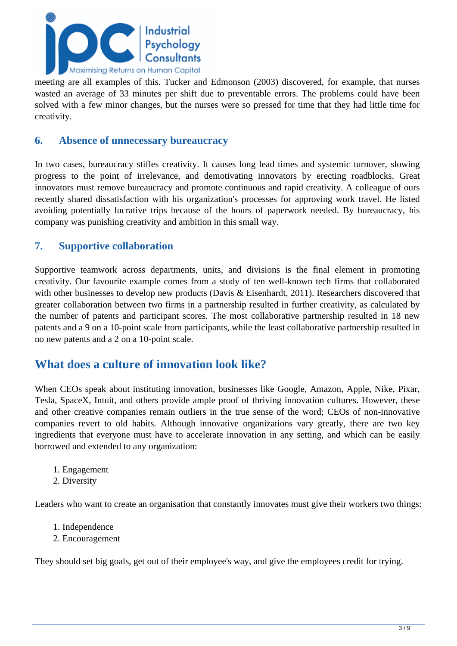

meeting are all examples of this. Tucker and Edmonson (2003) discovered, for example, that nurses wasted an average of 33 minutes per shift due to preventable errors. The problems could have been solved with a few minor changes, but the nurses were so pressed for time that they had little time for creativity.

#### **6. Absence of unnecessary bureaucracy**

In two cases, bureaucracy stifles creativity. It causes long lead times and systemic turnover, slowing progress to the point of irrelevance, and demotivating innovators by erecting roadblocks. Great innovators must remove bureaucracy and promote continuous and rapid creativity. A colleague of ours recently shared dissatisfaction with his organization's processes for approving work travel. He listed avoiding potentially lucrative trips because of the hours of paperwork needed. By bureaucracy, his company was punishing creativity and ambition in this small way.

#### **7. Supportive collaboration**

Supportive teamwork across departments, units, and divisions is the final element in promoting creativity. Our favourite example comes from a study of ten well-known tech firms that collaborated with other businesses to develop new products (Davis & Eisenhardt, 2011). Researchers discovered that greater collaboration between two firms in a partnership resulted in further creativity, as calculated by the number of patents and participant scores. The most collaborative partnership resulted in 18 new patents and a 9 on a 10-point scale from participants, while the least collaborative partnership resulted in no new patents and a 2 on a 10-point scale.

### **What does a culture of innovation look like?**

When CEOs speak about instituting innovation, businesses like Google, Amazon, Apple, Nike, Pixar, Tesla, SpaceX, Intuit, and others provide ample proof of thriving innovation cultures. However, these and other creative companies remain outliers in the true sense of the word; CEOs of non-innovative companies revert to old habits. Although innovative organizations vary greatly, there are two key ingredients that everyone must have to accelerate innovation in any setting, and which can be easily borrowed and extended to any organization:

- 1. Engagement
- 2. Diversity

Leaders who want to create an organisation that constantly innovates must give their workers two things:

- 1. Independence
- 2. Encouragement

They should set big goals, get out of their employee's way, and give the employees credit for trying.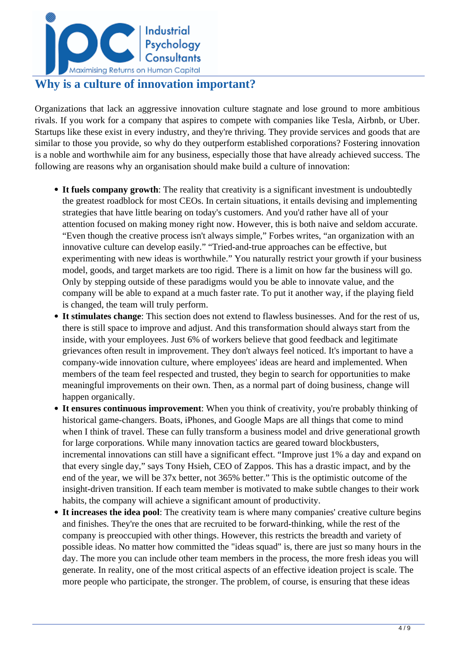

# **Why is a culture of innovation important?**

Organizations that lack an aggressive innovation culture stagnate and lose ground to more ambitious rivals. If you work for a company that aspires to compete with companies like Tesla, Airbnb, or Uber. Startups like these exist in every industry, and they're thriving. They provide services and goods that are similar to those you provide, so why do they outperform established corporations? Fostering innovation is a noble and worthwhile aim for any business, especially those that have already achieved success. The following are reasons why an organisation should make build a culture of innovation:

- **It fuels company growth**: The reality that creativity is a significant investment is undoubtedly the greatest roadblock for most CEOs. In certain situations, it entails devising and implementing strategies that have little bearing on today's customers. And you'd rather have all of your attention focused on making money right now. However, this is both naive and seldom accurate. "Even though the creative process isn't always simple," Forbes writes, "an organization with an innovative culture can develop easily." "Tried-and-true approaches can be effective, but experimenting with new ideas is worthwhile." You naturally restrict your growth if your business model, goods, and target markets are too rigid. There is a limit on how far the business will go. Only by stepping outside of these paradigms would you be able to innovate value, and the company will be able to expand at a much faster rate. To put it another way, if the playing field is changed, the team will truly perform.
- **It stimulates change**: This section does not extend to flawless businesses. And for the rest of us, there is still space to improve and adjust. And this transformation should always start from the inside, with your employees. Just 6% of workers believe that good feedback and legitimate grievances often result in improvement. They don't always feel noticed. It's important to have a company-wide innovation culture, where employees' ideas are heard and implemented. When members of the team feel respected and trusted, they begin to search for opportunities to make meaningful improvements on their own. Then, as a normal part of doing business, change will happen organically.
- **It ensures continuous improvement**: When you think of creativity, you're probably thinking of historical game-changers. Boats, iPhones, and Google Maps are all things that come to mind when I think of travel. These can fully transform a business model and drive generational growth for large corporations. While many innovation tactics are geared toward blockbusters, incremental innovations can still have a significant effect. "Improve just 1% a day and expand on that every single day," says Tony Hsieh, CEO of Zappos. This has a drastic impact, and by the end of the year, we will be 37x better, not 365% better." This is the optimistic outcome of the insight-driven transition. If each team member is motivated to make subtle changes to their work habits, the company will achieve a significant amount of productivity.
- **It increases the idea pool**: The creativity team is where many companies' creative culture begins and finishes. They're the ones that are recruited to be forward-thinking, while the rest of the company is preoccupied with other things. However, this restricts the breadth and variety of possible ideas. No matter how committed the "ideas squad" is, there are just so many hours in the day. The more you can include other team members in the process, the more fresh ideas you will generate. In reality, one of the most critical aspects of an effective ideation project is scale. The more people who participate, the stronger. The problem, of course, is ensuring that these ideas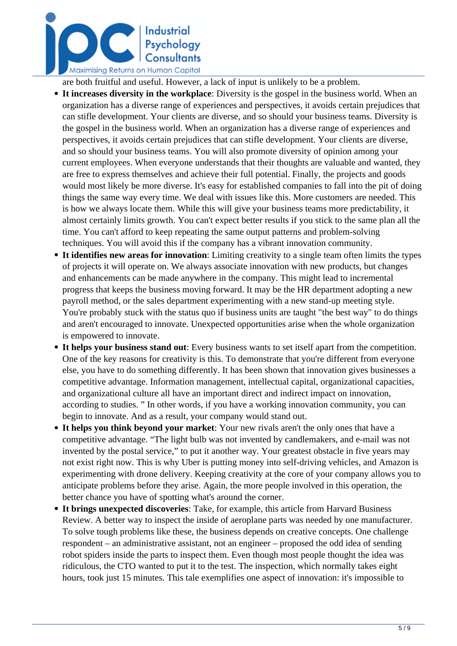

are both fruitful and useful. However, a lack of input is unlikely to be a problem.

- **It increases diversity in the workplace**: Diversity is the gospel in the business world. When an organization has a diverse range of experiences and perspectives, it avoids certain prejudices that can stifle development. Your clients are diverse, and so should your business teams. Diversity is the gospel in the business world. When an organization has a diverse range of experiences and perspectives, it avoids certain prejudices that can stifle development. Your clients are diverse, and so should your business teams. You will also promote diversity of opinion among your current employees. When everyone understands that their thoughts are valuable and wanted, they are free to express themselves and achieve their full potential. Finally, the projects and goods would most likely be more diverse. It's easy for established companies to fall into the pit of doing things the same way every time. We deal with issues like this. More customers are needed. This is how we always locate them. While this will give your business teams more predictability, it almost certainly limits growth. You can't expect better results if you stick to the same plan all the time. You can't afford to keep repeating the same output patterns and problem-solving techniques. You will avoid this if the company has a vibrant innovation community.
- **It identifies new areas for innovation**: Limiting creativity to a single team often limits the types of projects it will operate on. We always associate innovation with new products, but changes and enhancements can be made anywhere in the company. This might lead to incremental progress that keeps the business moving forward. It may be the HR department adopting a new payroll method, or the sales department experimenting with a new stand-up meeting style. You're probably stuck with the status quo if business units are taught "the best way" to do things and aren't encouraged to innovate. Unexpected opportunities arise when the whole organization is empowered to innovate.
- **It helps your business stand out**: Every business wants to set itself apart from the competition. One of the key reasons for creativity is this. To demonstrate that you're different from everyone else, you have to do something differently. It has been shown that innovation gives businesses a competitive advantage. Information management, intellectual capital, organizational capacities, and organizational culture all have an important direct and indirect impact on innovation, according to studies. " In other words, if you have a working innovation community, you can begin to innovate. And as a result, your company would stand out.
- **It helps you think beyond your market**: Your new rivals aren't the only ones that have a competitive advantage. "The light bulb was not invented by candlemakers, and e-mail was not invented by the postal service," to put it another way. Your greatest obstacle in five years may not exist right now. This is why Uber is putting money into self-driving vehicles, and Amazon is experimenting with drone delivery. Keeping creativity at the core of your company allows you to anticipate problems before they arise. Again, the more people involved in this operation, the better chance you have of spotting what's around the corner.
- **It brings unexpected discoveries**: Take, for example, this article from Harvard Business Review. A better way to inspect the inside of aeroplane parts was needed by one manufacturer. To solve tough problems like these, the business depends on creative concepts. One challenge respondent – an administrative assistant, not an engineer – proposed the odd idea of sending robot spiders inside the parts to inspect them. Even though most people thought the idea was ridiculous, the CTO wanted to put it to the test. The inspection, which normally takes eight hours, took just 15 minutes. This tale exemplifies one aspect of innovation: it's impossible to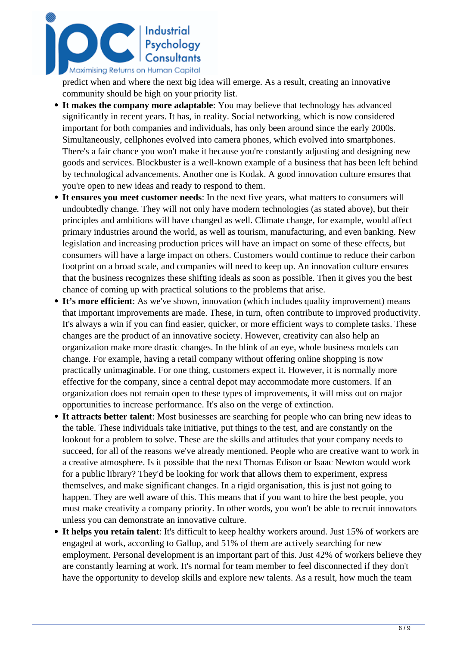

predict when and where the next big idea will emerge. As a result, creating an innovative community should be high on your priority list.

- **It makes the company more adaptable**: You may believe that technology has advanced significantly in recent years. It has, in reality. Social networking, which is now considered important for both companies and individuals, has only been around since the early 2000s. Simultaneously, cellphones evolved into camera phones, which evolved into smartphones. There's a fair chance you won't make it because you're constantly adjusting and designing new goods and services. Blockbuster is a well-known example of a business that has been left behind by technological advancements. Another one is Kodak. A good innovation culture ensures that you're open to new ideas and ready to respond to them.
- **It ensures you meet customer needs**: In the next five years, what matters to consumers will undoubtedly change. They will not only have modern technologies (as stated above), but their principles and ambitions will have changed as well. Climate change, for example, would affect primary industries around the world, as well as tourism, manufacturing, and even banking. New legislation and increasing production prices will have an impact on some of these effects, but consumers will have a large impact on others. Customers would continue to reduce their carbon footprint on a broad scale, and companies will need to keep up. An innovation culture ensures that the business recognizes these shifting ideals as soon as possible. Then it gives you the best chance of coming up with practical solutions to the problems that arise.
- It's more efficient: As we've shown, innovation (which includes quality improvement) means that important improvements are made. These, in turn, often contribute to improved productivity. It's always a win if you can find easier, quicker, or more efficient ways to complete tasks. These changes are the product of an innovative society. However, creativity can also help an organization make more drastic changes. In the blink of an eye, whole business models can change. For example, having a retail company without offering online shopping is now practically unimaginable. For one thing, customers expect it. However, it is normally more effective for the company, since a central depot may accommodate more customers. If an organization does not remain open to these types of improvements, it will miss out on major opportunities to increase performance. It's also on the verge of extinction.
- **It attracts better talent**: Most businesses are searching for people who can bring new ideas to the table. These individuals take initiative, put things to the test, and are constantly on the lookout for a problem to solve. These are the skills and attitudes that your company needs to succeed, for all of the reasons we've already mentioned. People who are creative want to work in a creative atmosphere. Is it possible that the next Thomas Edison or Isaac Newton would work for a public library? They'd be looking for work that allows them to experiment, express themselves, and make significant changes. In a rigid organisation, this is just not going to happen. They are well aware of this. This means that if you want to hire the best people, you must make creativity a company priority. In other words, you won't be able to recruit innovators unless you can demonstrate an innovative culture.
- **It helps you retain talent**: It's difficult to keep healthy workers around. Just 15% of workers are engaged at work, according to Gallup, and 51% of them are actively searching for new employment. Personal development is an important part of this. Just 42% of workers believe they are constantly learning at work. It's normal for team member to feel disconnected if they don't have the opportunity to develop skills and explore new talents. As a result, how much the team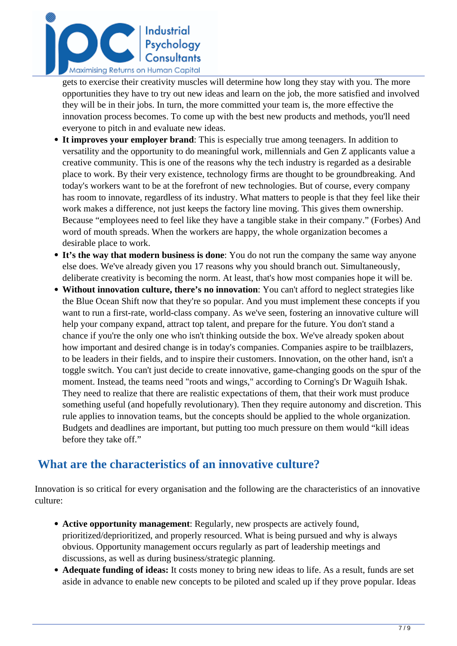

gets to exercise their creativity muscles will determine how long they stay with you. The more opportunities they have to try out new ideas and learn on the job, the more satisfied and involved they will be in their jobs. In turn, the more committed your team is, the more effective the innovation process becomes. To come up with the best new products and methods, you'll need everyone to pitch in and evaluate new ideas.

- **It improves your employer brand**: This is especially true among teenagers. In addition to versatility and the opportunity to do meaningful work, millennials and Gen Z applicants value a creative community. This is one of the reasons why the tech industry is regarded as a desirable place to work. By their very existence, technology firms are thought to be groundbreaking. And today's workers want to be at the forefront of new technologies. But of course, every company has room to innovate, regardless of its industry. What matters to people is that they feel like their work makes a difference, not just keeps the factory line moving. This gives them ownership. Because "employees need to feel like they have a tangible stake in their company." (Forbes) And word of mouth spreads. When the workers are happy, the whole organization becomes a desirable place to work.
- **It's the way that modern business is done**: You do not run the company the same way anyone else does. We've already given you 17 reasons why you should branch out. Simultaneously, deliberate creativity is becoming the norm. At least, that's how most companies hope it will be.
- **Without innovation culture, there's no innovation**: You can't afford to neglect strategies like the Blue Ocean Shift now that they're so popular. And you must implement these concepts if you want to run a first-rate, world-class company. As we've seen, fostering an innovative culture will help your company expand, attract top talent, and prepare for the future. You don't stand a chance if you're the only one who isn't thinking outside the box. We've already spoken about how important and desired change is in today's companies. Companies aspire to be trailblazers, to be leaders in their fields, and to inspire their customers. Innovation, on the other hand, isn't a toggle switch. You can't just decide to create innovative, game-changing goods on the spur of the moment. Instead, the teams need "roots and wings," according to Corning's Dr Waguih Ishak. They need to realize that there are realistic expectations of them, that their work must produce something useful (and hopefully revolutionary). Then they require autonomy and discretion. This rule applies to innovation teams, but the concepts should be applied to the whole organization. Budgets and deadlines are important, but putting too much pressure on them would "kill ideas before they take off."

# **What are the characteristics of an innovative culture?**

Innovation is so critical for every organisation and the following are the characteristics of an innovative culture:

- **Active opportunity management**: Regularly, new prospects are actively found, prioritized/deprioritized, and properly resourced. What is being pursued and why is always obvious. Opportunity management occurs regularly as part of leadership meetings and discussions, as well as during business/strategic planning.
- **Adequate funding of ideas:** It costs money to bring new ideas to life. As a result, funds are set aside in advance to enable new concepts to be piloted and scaled up if they prove popular. Ideas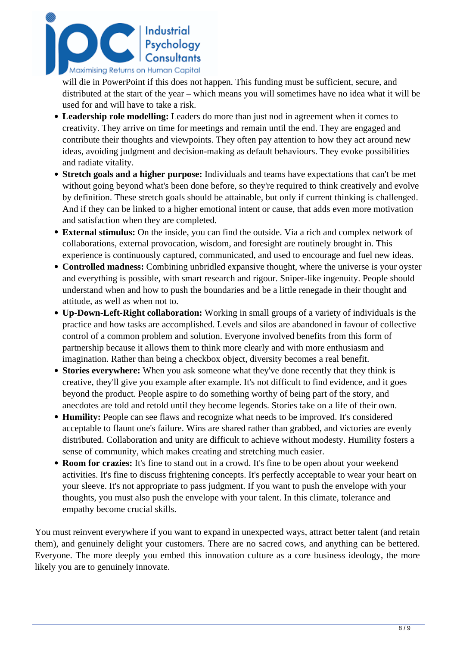

will die in PowerPoint if this does not happen. This funding must be sufficient, secure, and distributed at the start of the year – which means you will sometimes have no idea what it will be used for and will have to take a risk.

- **Leadership role modelling:** Leaders do more than just nod in agreement when it comes to creativity. They arrive on time for meetings and remain until the end. They are engaged and contribute their thoughts and viewpoints. They often pay attention to how they act around new ideas, avoiding judgment and decision-making as default behaviours. They evoke possibilities and radiate vitality.
- **Stretch goals and a higher purpose:** Individuals and teams have expectations that can't be met without going beyond what's been done before, so they're required to think creatively and evolve by definition. These stretch goals should be attainable, but only if current thinking is challenged. And if they can be linked to a higher emotional intent or cause, that adds even more motivation and satisfaction when they are completed.
- **External stimulus:** On the inside, you can find the outside. Via a rich and complex network of collaborations, external provocation, wisdom, and foresight are routinely brought in. This experience is continuously captured, communicated, and used to encourage and fuel new ideas.
- **Controlled madness:** Combining unbridled expansive thought, where the universe is your oyster and everything is possible, with smart research and rigour. Sniper-like ingenuity. People should understand when and how to push the boundaries and be a little renegade in their thought and attitude, as well as when not to.
- **Up-Down-Left-Right collaboration:** Working in small groups of a variety of individuals is the practice and how tasks are accomplished. Levels and silos are abandoned in favour of collective control of a common problem and solution. Everyone involved benefits from this form of partnership because it allows them to think more clearly and with more enthusiasm and imagination. Rather than being a checkbox object, diversity becomes a real benefit.
- **Stories everywhere:** When you ask someone what they've done recently that they think is creative, they'll give you example after example. It's not difficult to find evidence, and it goes beyond the product. People aspire to do something worthy of being part of the story, and anecdotes are told and retold until they become legends. Stories take on a life of their own.
- **Humility:** People can see flaws and recognize what needs to be improved. It's considered acceptable to flaunt one's failure. Wins are shared rather than grabbed, and victories are evenly distributed. Collaboration and unity are difficult to achieve without modesty. Humility fosters a sense of community, which makes creating and stretching much easier.
- **Room for crazies:** It's fine to stand out in a crowd. It's fine to be open about your weekend activities. It's fine to discuss frightening concepts. It's perfectly acceptable to wear your heart on your sleeve. It's not appropriate to pass judgment. If you want to push the envelope with your thoughts, you must also push the envelope with your talent. In this climate, tolerance and empathy become crucial skills.

You must reinvent everywhere if you want to expand in unexpected ways, attract better talent (and retain them), and genuinely delight your customers. There are no sacred cows, and anything can be bettered. Everyone. The more deeply you embed this innovation culture as a core business ideology, the more likely you are to genuinely innovate.